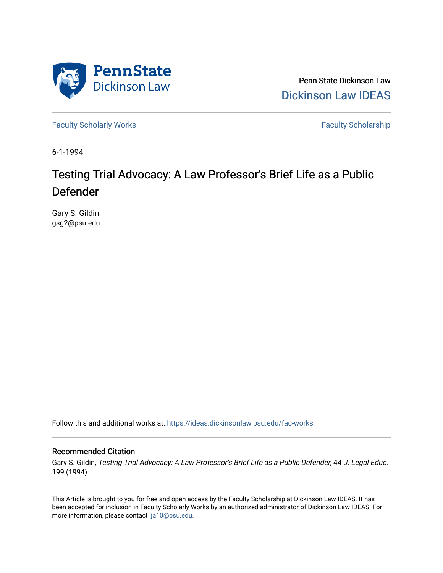

Penn State Dickinson Law [Dickinson Law IDEAS](https://ideas.dickinsonlaw.psu.edu/) 

[Faculty Scholarly Works](https://ideas.dickinsonlaw.psu.edu/fac-works) **Faculty Scholarship** 

6-1-1994

# Testing Trial Advocacy: A Law Professor's Brief Life as a Public Defender

Gary S. Gildin gsg2@psu.edu

Follow this and additional works at: [https://ideas.dickinsonlaw.psu.edu/fac-works](https://ideas.dickinsonlaw.psu.edu/fac-works?utm_source=ideas.dickinsonlaw.psu.edu%2Ffac-works%2F76&utm_medium=PDF&utm_campaign=PDFCoverPages)

# Recommended Citation

Gary S. Gildin, Testing Trial Advocacy: A Law Professor's Brief Life as a Public Defender, 44 J. Legal Educ. 199 (1994).

This Article is brought to you for free and open access by the Faculty Scholarship at Dickinson Law IDEAS. It has been accepted for inclusion in Faculty Scholarly Works by an authorized administrator of Dickinson Law IDEAS. For more information, please contact [lja10@psu.edu.](mailto:lja10@psu.edu)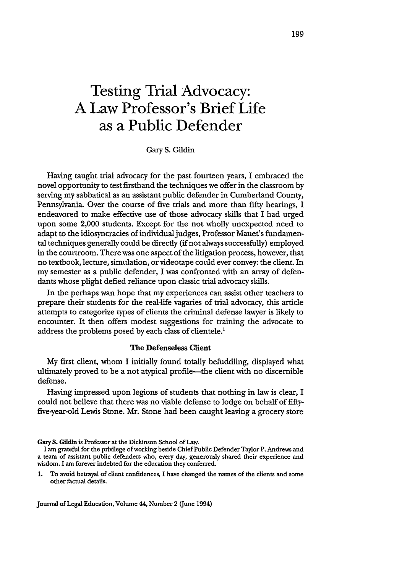# **Testing Trial Advocacy: A Law Professor's Brief Life as a Public Defender**

Gary **S.** Gildin

Having taught trial advocacy for the past fourteen years, I embraced the novel opportunity to test firsthand the techniques we offer in the classroom by serving my sabbatical as an assistant public defender in Cumberland County, Pennsylvania. Over the course of five trials and more than fifty hearings, I endeavored to make effective use of those advocacy skills that I had urged upon some 2,000 students. Except for the not wholly unexpected need to adapt to the idiosyncracies of individual judges, Professor Mauet's fundamental techniques generally could be directly (if not always successfully) employed in the courtroom. There was one aspect of the litigation process, however, that no textbook, lecture, simulation, or videotape could ever convey: the client. In my semester as a public defender, I was confronted with an array of defendants whose plight defied reliance upon classic trial advocacy skills.

In the perhaps wan hope that my experiences can assist other teachers to prepare their students for the real-life vagaries of trial advocacy, this article attempts to categorize types of clients the criminal defense lawyer is likely to encounter. It then offers modest suggestions for training the advocate to address the problems posed by each class of clientele.<sup>1</sup>

#### The Defenseless Client

My first client, whom I initially found totally befuddling, displayed what ultimately proved to be a not atypical profile—the client with no discernible defense.

Having impressed upon legions of students that nothing in law is clear, I could not believe that there was no viable defense to lodge on behalf of fiftyfive-year-old Lewis Stone. Mr. Stone had been caught leaving a grocery store

Gary **S.** Gildin is Professor at the Dickinson School of Law.

**I** am grateful for the privilege of working beside Chief Public Defender Taylor P. Andrews and a team of assistant public defenders who, every day, generously shared their experience and wisdom. I am forever indebted for the education they conferred.

1. To avoid betrayal of client confidences, I have changed the names of the clients and some other factual details.

Journal of Legal Education, Volume 44, Number 2 (June 1994)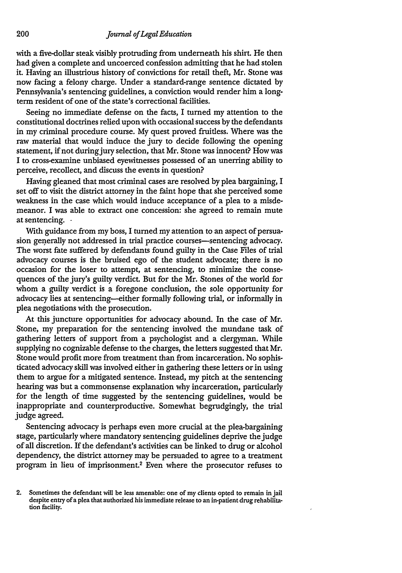with a five-dollar steak visibly protruding from underneath his shirt. He then had given a complete and uncoerced confession admitting that he had stolen it. Having an illustrious history of convictions for retail theft, Mr. Stone was now facing a felony charge. Under a standard-range sentence dictated by Pennsylvania's sentencing guidelines, a conviction would render him a longterm resident of one of the state's correctional facilities.

Seeing no immediate defense on the facts, I turned my attention to the constitutional doctrines relied upon with occasional success by the defendants in my criminal procedure course. My quest proved fruitless. Where was the raw material that would induce the jury to decide following the opening statement, if not during jury selection, that Mr. Stone was innocent? How was I to cross-examine unbiased eyewitnesses possessed of an unerring ability to perceive, recollect, and discuss the events in question?

Having gleaned that most criminal cases are resolved by plea bargaining, I set off to visit the district attorney in the faint hope that she perceived some weakness in the case which would induce acceptance of a plea to a misdemeanor. I was able to extract one concession: she agreed to remain mute at sentencing. **-**

With guidance from my boss, I turned my attention to an aspect of persuasion generally not addressed in trial practice courses—sentencing advocacy. The worst fate suffered by defendants found guilty in the Case Files of trial advocacy courses is the bruised ego of the student advocate; there is no occasion for the loser to attempt, at sentencing, to minimize the consequences of the jury's guilty verdict. But for the Mr. Stones of the world for whom a guilty verdict is a foregone conclusion, the sole opportunity for advocacy lies at sentencing-either formally following trial, or informally in plea negotiations with the prosecution.

At this juncture opportunities for advocacy abound. In the case of Mr. Stone, my preparation for the sentencing involved the mundane task of gathering letters of support from a psychologist and a clergyman. While supplying no cognizable defense to the charges, the letters suggested that Mr. Stone would profit more from treatment than from incarceration. No sophisticated advocacy skill was involved either in gathering these letters or in using them to argue for a mitigated sentence. Instead, my pitch at the sentencing hearing was but a commonsense explanation why incarceration, particularly for the length of time suggested by the sentencing guidelines, would be inappropriate and counterproductive. Somewhat begrudgingly, the trial judge agreed.

Sentencing advocacy is perhaps even more crucial at the plea-bargaining stage, particularly where mandatory sentencing guidelines deprive the judge of all discretion. If the defendant's activities can be linked to drug or alcohol dependency, the district attorney may be persuaded to agree to a treatment program in lieu of imprisonment.2 Even where the prosecutor refuses to

<sup>2.</sup> Sometimes the defendant will be less amenable: one of my clients opted to remain in jail despite entry of a plea that authorized his immediate release to an in-patient drug rehabilitation **facility.**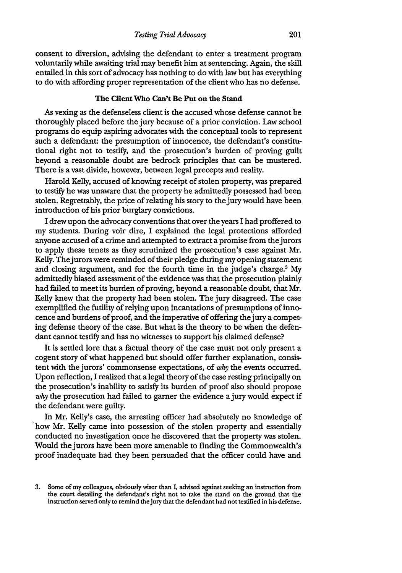consent to diversion, advising the defendant to enter a treatment program voluntarily while awaiting trial may benefit him at sentencing. Again, the skill entailed in this sort of advocacy has nothing to do with law but has everything to do with affording proper representation of the client who has no defense.

#### The Client **Who Can't Be Put on the Stand**

As vexing as the defenseless client is the accused whose defense cannot be thoroughly placed before the jury because of a prior conviction. Law school programs do equip aspiring advocates with the conceptual tools to represent such a defendant: the presumption of innocence, the defendant's constitutional right not to testify, and the prosecution's burden of proving guilt beyond a reasonable doubt are bedrock principles that can be mustered. There is a vast divide, however, between legal precepts and reality.

Harold Kelly, accused of knowing receipt of stolen property, was prepared to testify he was unaware that the property he admittedly possessed had been stolen. Regrettably, the price of relating his story to the jury would have been introduction of his prior burglary convictions.

I drew upon the advocacy conventions that over the years I had proffered to my students. During voir dire, I explained the legal protections afforded anyone accused of a crime and attempted to extract a promise from the jurors to apply these tenets as they scrutinized the prosecution's case against Mr. Kelly. Thejurors were reminded of their pledge during my opening statement and closing argument, and for the fourth time in the judge's charge.<sup>3</sup> My admittedly biased assessment of the evidence was that the prosecution plainly had failed to meet its burden of proving, beyond a reasonable doubt, that Mr. Kelly knew that the property had been stolen. The jury disagreed. The case exemplified the futility of relying upon incantations of presumptions of innocence and burdens of proof, and the imperative of offering the jury a competing defense theory of the case. But what is the theory to be when the defendant cannot testify and has no witnesses to support his claimed defense?

It is settled lore that a factual theory of the case must not only present a cogent story of what happened but should offer further explanation, consistent with the jurors' commonsense expectations, of *why* the events occurred. Upon reflection, I realized that a legal theory of the case resting principally on the prosecution's inability to satisfy its burden of proof also should propose why the prosecution had failed to garner the evidence a jury would expect if the defendant were guilty.

In Mr. Kelly's case, the arresting officer had absolutely no knowledge of how Mr. Kelly came into possession of the stolen property and essentially conducted no investigation once he discovered that the property was stolen. Would the jurors have been more amenable to finding the Commonwealth's proof inadequate had they been persuaded that the officer could have and

**<sup>3.</sup>** Some **of** my colleagues, obviously wiser than **I,** advised against seeking an instruction from the **court** detailing the defendant's right **not to** take the stand **on the ground** that the **instruction served** only **to** remind the jury that the defendant **had not** testified in his defense.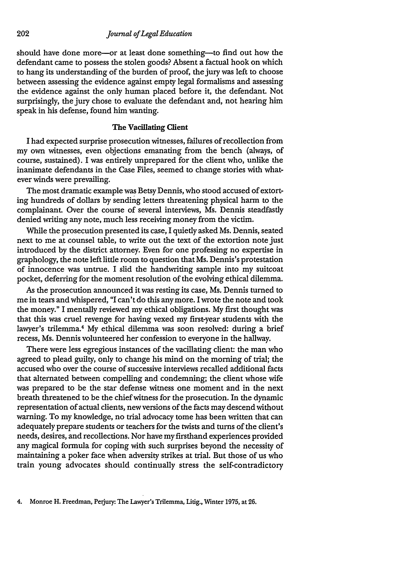should have done more—or at least done something—to find out how the defendant came to possess the stolen goods? Absent a factual hook on which to hang its understanding of the burden of proof, the jury was left to choose between assessing the evidence against empty legal formalisms and assessing the evidence against the only human placed before it, the defendant. Not surprisingly, the jury chose to evaluate the defendant and, not hearing him speak in his defense, found him wanting.

## The Vacillating Client

I had expected surprise prosecution witnesses, failures of recollection from my own witnesses, even objections emanating from the bench (always, of course, sustained). I was entirely unprepared for the client who, unlike the inanimate defendants in the Case Files, seemed to change stories with whatever winds were prevailing.

The most dramatic example was Betsy Dennis, who stood accused of extorting hundreds of dollars by sending letters threatening physical harm to the complainant. Over the course of several interviews, Ms. Dennis steadfastly denied writing any note, much less receiving money from the victim.

While the prosecution presented its case, I quietly asked Ms. Dennis, seated next to me at counsel table, to write out the text of the extortion note just introduced by the district attorney. Even for one professing no expertise in graphology, the note left little room to question that Ms. Dennis's protestation of innocence was untrue. I slid the handwriting sample into my suitcoat pocket, deferring for the moment resolution of the evolving ethical dilemma.

As the prosecution announced it was resting its case, Ms. Dennis turned to me in tears and whispered, "I can't do this anymore. I wrote the note and took the money." I mentally reviewed my ethical obligations. My first thought was that this was cruel revenge for having vexed my first-year students with the lawyer's trilemma.4 My ethical dilemma was soon resolved: during a brief recess, Ms. Dennis volunteered her confession to everyone in the hallway.

There were less egregious instances of the vacillating client: the man who agreed to plead guilty, only to change his mind on the morning of trial; the accused who over the course of successive interviews recalled additional facts that alternated between compelling and condemning; the client whose wife was prepared to be the star defense witness one moment and in the next breath threatened to be the chief witness for the prosecution. In the dynamic representation of actual clients, new versions of the facts may descend without warning. To my knowledge, no trial advocacy tome has been written that can adequately prepare students or teachers for the twists and turns of the client's needs, desires, and recollections. Nor have my firsthand experiences provided any magical formula for coping with such surprises beyond the necessity of maintaining a poker face when adversity strikes at trial. But those of us who train young advocates should continually stress the self-contradictory

<sup>4.</sup> Monroe H. Freedman, Perjury: The Lawyer's Trilemma, Litig., Winter 1975, at **26.**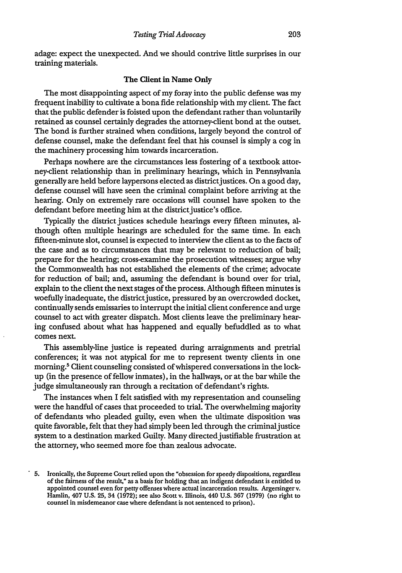adage: expect the unexpected. And we should contrive little surprises in our training materials.

## The Client in Name Only

The most disappointing aspect of my foray into the public defense was my frequent inability to cultivate a bona fide relationship with my client. The fact that the public defender is foisted upon the defendant rather than voluntarily retained as counsel certainly degrades the attorney-client bond at the outset. The bond is further strained when conditions, largely beyond the control of defense counsel, make the defendant feel that his counsel is simply a cog in the machinery processing him towards incarceration.

Perhaps nowhere are the circumstances less fostering of a textbook attorney-client relationship than in preliminary hearings, which in Pennsylvania generally are held before laypersons elected as districtjustices. On a good day, defense counsel will have seen the criminal complaint before arriving at the hearing. Only on extremely rare occasions will counsel have spoken to the defendant before meeting him at the district justice's office.

Typically the district justices schedule hearings every fifteen minutes, although often multiple hearings are scheduled for the same time. In each fifteen-minute slot, counsel is expected to interview the client as to the facts of the case and as to circumstances that may be relevant to reduction of bail; prepare for the hearing; cross-examine the prosecution witnesses; argue why the Commonwealth has not established the elements of the crime; advocate for reduction of bail; and, assuming the defendant is bound over for trial, explain to the client the next stages of the process. Although fifteen minutes is woefully inadequate, the districtjustice, pressured by an overcrowded docket, continually sends emissaries to interrupt the initial client conference and urge counsel to act with greater dispatch. Most clients leave the preliminary hearing confused about what has happened and equally befuddled as to what comes next.

This assembly-line justice is repeated during arraignments and pretrial conferences; it was not atypical for me to represent twenty clients in one morning.<sup>5</sup> Client counseling consisted of whispered conversations in the lockup (in the presence of fellow inmates), in the hallways, or at the bar while the judge simultaneously ran through a recitation of defendant's rights.

The instances when I felt satisfied with my representation and counseling were the handful of cases that proceeded to trial. The overwhelming majority of defendants who pleaded guilty, even when the ultimate disposition was quite favorable, felt that they had simply been led through the criminaljustice system to a destination marked Guilty. Many directed justifiable frustration at the attorney, who seemed more foe than zealous advocate.

**<sup>5.</sup>** Ironically, the Supreme Court relied upon the "obsession for speedy dispositions, regardless of the fairness of the result," as a basis for holding that an indigent defendant is entitled to appointed counsel even **for** petty offenses where actual incarceration results. Argersinger v. Hamlin, 407 **U.S. 25,** 34 **(1972);** see also Scott v. Illinois, 440 **U.S. 367 (1979)** (no right to counsel **in** misdemeanor case where defendant **is** not sentenced to prison).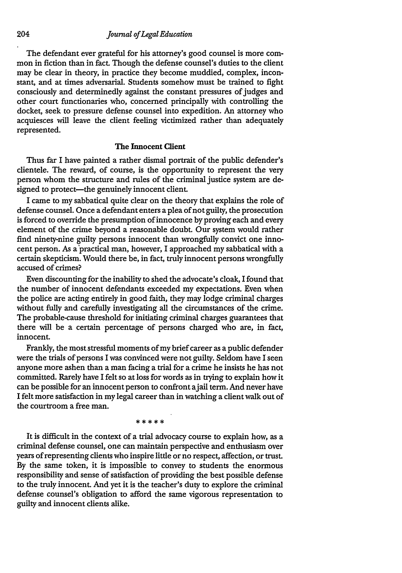### *Journal of Legal Education*

The defendant ever grateful for his attorney's good counsel is more common in fiction than in fact. Though the defense counsel's duties to the client may be clear in theory, in practice they become muddied, complex, inconstant, and at times adversarial. Students somehow must be trained to fight consciously and determinedly against the constant pressures of judges and other court functionaries who, concerned principally with controlling the docket, seek to pressure defense counsel into expedition. An attorney who acquiesces will leave the client feeling victimized rather than adequately represented.

# The Innocent Client

Thus far I have painted a rather dismal portrait of the public defender's clientele. The reward, of course, is the opportunity to represent the very person whom the structure and rules of the criminal justice system are designed to protect-the genuinely innocent client.

I came to my sabbatical quite clear on the theory that explains the role of defense counsel. Once a defendant enters a plea of not guilty, the prosecution is forced to override the presumption of innocence by proving each and every element of the crime beyond a reasonable doubt. Our system would rather find ninety-nine guilty persons innocent than wrongfully convict one innocent person. As a practical man, however, I approached my sabbatical with a certain skepticism. Would there be, in fact, truly innocent persons wrongfully accused of crimes?

Even discounting for the inability to shed the advocate's cloak, I found that the number of innocent defendants exceeded my expectations. Even when the police are acting entirely in good faith, they may lodge criminal charges without fully and carefully investigating all the circumstances of the crime. The probable-cause threshold for initiating criminal charges guarantees that there will be a certain percentage of persons charged who are, in fact, innocent.

Frankly, the most stressful moments of my brief career as a public defender were the trials of persons I was convinced were not guilty. Seldom have I seen anyone more ashen than a man facing a trial for a crime he insists he has not committed. Rarely have I felt so at loss for words as in trying to explain how it can be possible for an innocent person to confront ajail term. And never have I felt more satisfaction in my legal career than in watching a client walk out of the courtroom a free man.

\* \* \* \* \*

It is difficult in the context of a trial advocacy course to explain how, as a criminal defense counsel, one can maintain perspective and enthusiasm over years of representing clients who inspire little or no respect, affection, or trust. **By** the same token, it is impossible to convey to students the enormous responsibility and sense of satisfaction of providing the best possible defense to the truly innocent. And yet it is the teacher's duty to explore the criminal defense counsel's obligation to afford the same vigorous representation to guilty and innocent clients alike.